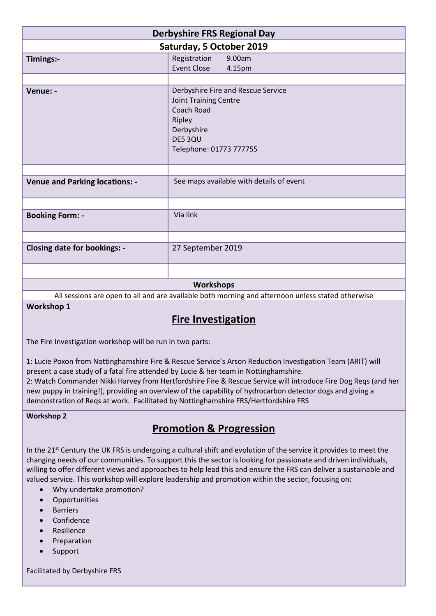| <b>Derbyshire FRS Regional Day</b>    |                                                                                                                                                |
|---------------------------------------|------------------------------------------------------------------------------------------------------------------------------------------------|
| Saturday, 5 October 2019              |                                                                                                                                                |
| Timings:-                             | Registration<br>9.00am<br>Event Close<br>4.15pm                                                                                                |
|                                       |                                                                                                                                                |
| Venue: -                              | Derbyshire Fire and Rescue Service<br><b>Joint Training Centre</b><br>Coach Road<br>Ripley<br>Derbyshire<br>DE5 3QU<br>Telephone: 01773 777755 |
|                                       |                                                                                                                                                |
| <b>Venue and Parking locations: -</b> | See maps available with details of event                                                                                                       |
|                                       |                                                                                                                                                |
| <b>Booking Form: -</b>                | Via link                                                                                                                                       |
|                                       |                                                                                                                                                |
| <b>Closing date for bookings: -</b>   | 27 September 2019                                                                                                                              |
|                                       |                                                                                                                                                |
| <b>Workshops</b>                      |                                                                                                                                                |

All sessions are open to all and are available both morning and afternoon unless stated otherwise

**Workshop 1**

# **Fire Investigation**

The Fire Investigation workshop will be run in two parts:

1: Lucie Poxon from Nottinghamshire Fire & Rescue Service's Arson Reduction Investigation Team (ARIT) will present a case study of a fatal fire attended by Lucie & her team in Nottinghamshire.

2: Watch Commander Nikki Harvey from Hertfordshire Fire & Rescue Service will introduce Fire Dog Reqs (and her new puppy in training!), providing an overview of the capability of hydrocarbon detector dogs and giving a demonstration of Reqs at work. Facilitated by Nottinghamshire FRS/Hertfordshire FRS

#### **Workshop 2**

# **Promotion & Progression**

In the 21<sup>st</sup> Century the UK FRS is undergoing a cultural shift and evolution of the service it provides to meet the changing needs of our communities. To support this the sector is looking for passionate and driven individuals, willing to offer different views and approaches to help lead this and ensure the FRS can deliver a sustainable and valued service. This workshop will explore leadership and promotion within the sector, focusing on:

- Why undertake promotion?
- Opportunities
- **•** Barriers
- Confidence
- Resilience
- Preparation
- Support

Facilitated by Derbyshire FRS